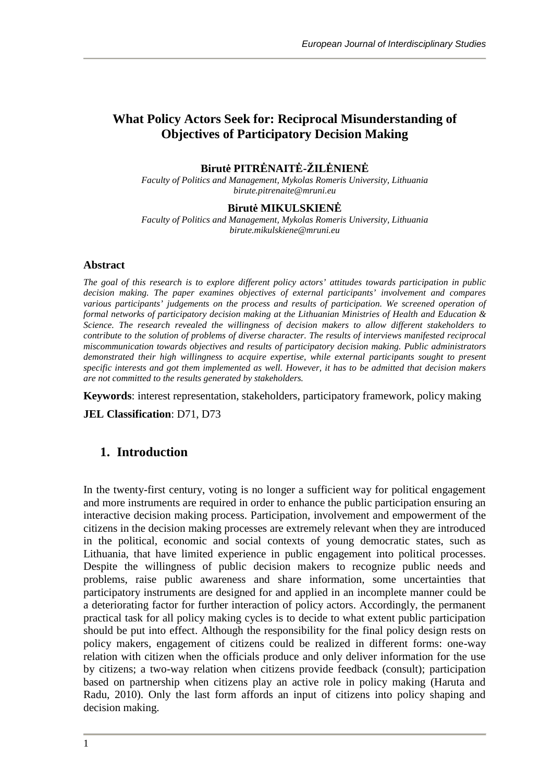# **What Policy Actors Seek for: Reciprocal Misunderstanding of Objectives of Participatory Decision Making**

## **BirutPITR NAIT**  $\cdot$ **ŽIL NIEN**

*Faculty of Politics and Management, Mykolas Romeris University, Lithuania birute.pitrenaite@mruni.eu*

#### **Birut** MIKULSKIEN

*Faculty of Politics and Management, Mykolas Romeris University, Lithuania birute.mikulskiene@mruni.eu*

#### **Abstract**

*The goal of this research is to explore different policy actors' attitudes towards participation in public decision making. The paper examines objectives of external participants' involvement and compares various participants' judgements on the process and results of participation. We screened operation of formal networks of participatory decision making at the Lithuanian Ministries of Health and Education & Science. The research revealed the willingness of decision makers to allow different stakeholders to contribute to the solution of problems of diverse character. The results of interviews manifested reciprocal miscommunication towards objectives and results of participatory decision making. Public administrators demonstrated their high willingness to acquire expertise, while external participants sought to present specific interests and got them implemented as well. However, it has to be admitted that decision makers are not committed to the results generated by stakeholders.*

**Keywords**: interest representation, stakeholders, participatory framework, policy making

**JEL Classification**: D71, D73

#### **1. Introduction**

In the twenty-first century, voting is no longer a sufficient way for political engagement and more instruments are required in order to enhance the public participation ensuring an interactive decision making process. Participation, involvement and empowerment of the citizens in the decision making processes are extremely relevant when they are introduced in the political, economic and social contexts of young democratic states, such as Lithuania, that have limited experience in public engagement into political processes. Despite the willingness of public decision makers to recognize public needs and problems, raise public awareness and share information, some uncertainties that participatory instruments are designed for and applied in an incomplete manner could be a deteriorating factor for further interaction of policy actors. Accordingly, the permanent practical task for all policy making cycles is to decide to what extent public participation should be put into effect. Although the responsibility for the final policy design rests on policy makers, engagement of citizens could be realized in different forms: one-way relation with citizen when the officials produce and only deliver information for the use by citizens; a two-way relation when citizens provide feedback (consult); participation based on partnership when citizens play an active role in policy making (Haruta and Radu, 2010). Only the last form affords an input of citizens into policy shaping and decision making.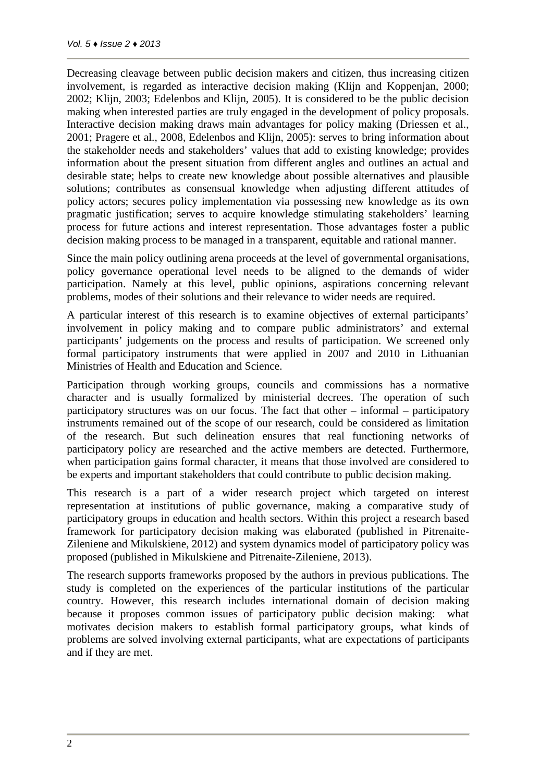Decreasing cleavage between public decision makers and citizen, thus increasing citizen involvement, is regarded as interactive decision making (Klijn and Koppenjan, 2000; 2002; Klijn, 2003; Edelenbos and Klijn, 2005). It is considered to be the public decision making when interested parties are truly engaged in the development of policy proposals. Interactive decision making draws main advantages for policy making (Driessen et al., 2001; Pragere et al., 2008, Edelenbos and Klijn, 2005): serves to bring information about the stakeholder needs and stakeholders' values that add to existing knowledge; provides information about the present situation from different angles and outlines an actual and desirable state; helps to create new knowledge about possible alternatives and plausible solutions; contributes as consensual knowledge when adjusting different attitudes of policy actors; secures policy implementation via possessing new knowledge as its own pragmatic justification; serves to acquire knowledge stimulating stakeholders' learning process for future actions and interest representation. Those advantages foster a public decision making process to be managed in a transparent, equitable and rational manner.

Since the main policy outlining arena proceeds at the level of governmental organisations, policy governance operational level needs to be aligned to the demands of wider participation. Namely at this level, public opinions, aspirations concerning relevant problems, modes of their solutions and their relevance to wider needs are required.

A particular interest of this research is to examine objectives of external participants' involvement in policy making and to compare public administrators' and external participants' judgements on the process and results of participation. We screened only formal participatory instruments that were applied in 2007 and 2010 in Lithuanian Ministries of Health and Education and Science.

Participation through working groups, councils and commissions has a normative character and is usually formalized by ministerial decrees. The operation of such participatory structures was on our focus. The fact that other – informal – participatory instruments remained out of the scope of our research, could be considered as limitation of the research. But such delineation ensures that real functioning networks of participatory policy are researched and the active members are detected. Furthermore, when participation gains formal character, it means that those involved are considered to be experts and important stakeholders that could contribute to public decision making.

This research is a part of a wider research project which targeted on interest representation at institutions of public governance, making a comparative study of participatory groups in education and health sectors. Within this project a research based framework for participatory decision making was elaborated (published in Pitrenaite- Zileniene and Mikulskiene, 2012) and system dynamics model of participatory policy was proposed (published in Mikulskiene and Pitrenaite-Zileniene, 2013).

The research supports frameworks proposed by the authors in previous publications. The study is completed on the experiences of the particular institutions of the particular country. However, this research includes international domain of decision making because it proposes common issues of participatory public decision making: what motivates decision makers to establish formal participatory groups, what kinds of problems are solved involving external participants, what are expectations of participants and if they are met.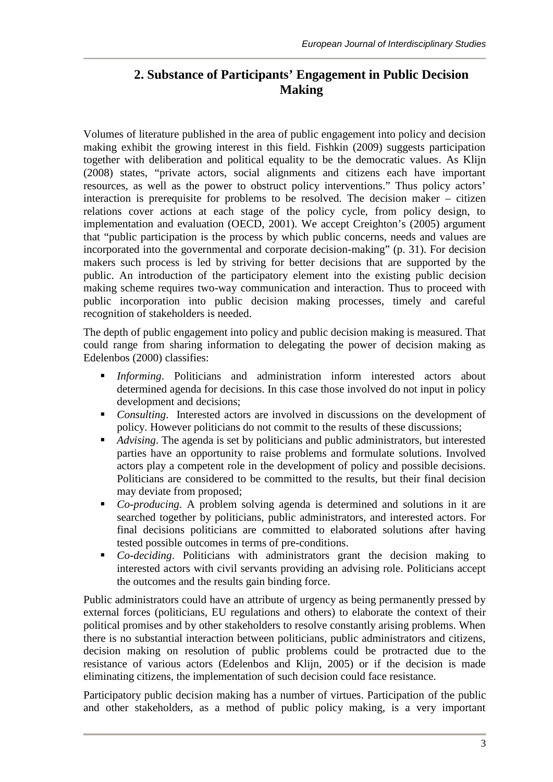# **2. Substance of Participants' Engagement in Public Decision Making**

Volumes of literature published in the area of public engagement into policy and decision making exhibit the growing interest in this field. Fishkin (2009) suggests participation together with deliberation and political equality to be the democratic values. As Klijn (2008) states, "private actors, social alignments and citizens each have important resources, as well as the power to obstruct policy interventions." Thus policy actors' interaction is prerequisite for problems to be resolved. The decision maker – citizen relations cover actions at each stage of the policy cycle, from policy design, to implementation and evaluation (OECD, 2001). We accept Creighton's (2005) argument that "public participation is the process by which public concerns, needs and values are incorporated into the governmental and corporate decision-making" (p. 31). For decision makers such process is led by striving for better decisions that are supported by the public. An introduction of the participatory element into the existing public decision making scheme requires two-way communication and interaction. Thus to proceed with public incorporation into public decision making processes, timely and careful recognition of stakeholders is needed.

The depth of public engagement into policy and public decision making is measured. That could range from sharing information to delegating the power of decision making as Edelenbos (2000) classifies:

- *Informing*. Politicians and administration inform interested actors about determined agenda for decisions. In this case those involved do not input in policy development and decisions;
- **•** *Consulting*. Interested actors are involved in discussions on the development of policy. However politicians do not commit to the results of these discussions;
- *Advising*. The agenda is set by politicians and public administrators, but interested parties have an opportunity to raise problems and formulate solutions. Involved actors play a competent role in the development of policy and possible decisions. Politicians are considered to be committed to the results, but their final decision may deviate from proposed;
- *Co-producing*. A problem solving agenda is determined and solutions in it are searched together by politicians, public administrators, and interested actors. For final decisions politicians are committed to elaborated solutions after having tested possible outcomes in terms of pre-conditions.
- *Co-deciding*. Politicians with administrators grant the decision making to interested actors with civil servants providing an advising role. Politicians accept the outcomes and the results gain binding force.

Public administrators could have an attribute of urgency as being permanently pressed by external forces (politicians, EU regulations and others) to elaborate the context of their political promises and by other stakeholders to resolve constantly arising problems. When there is no substantial interaction between politicians, public administrators and citizens, decision making on resolution of public problems could be protracted due to the resistance of various actors (Edelenbos and Klijn, 2005) or if the decision is made eliminating citizens, the implementation of such decision could face resistance.

Participatory public decision making has a number of virtues. Participation of the public and other stakeholders, as a method of public policy making, is a very important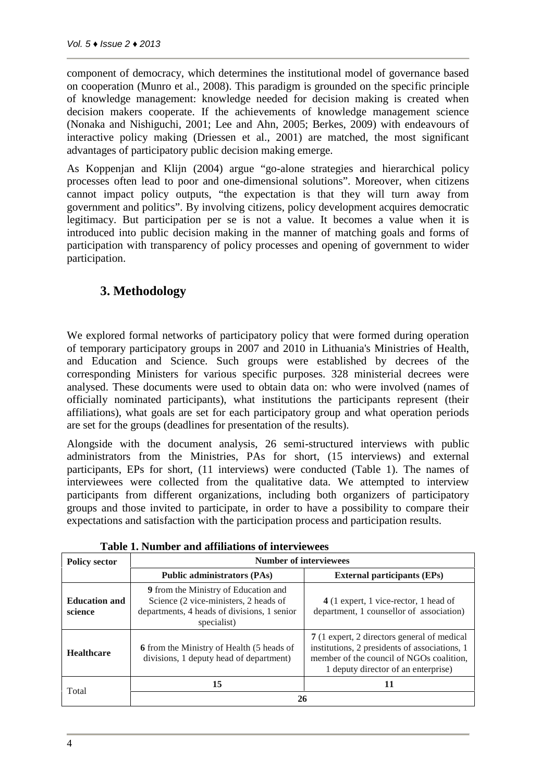component of democracy, which determines the institutional model of governance based on cooperation (Munro et al., 2008). This paradigm is grounded on the specific principle of knowledge management: knowledge needed for decision making is created when decision makers cooperate. If the achievements of knowledge management science (Nonaka and Nishiguchi, 2001; Lee and Ahn, 2005; Berkes, 2009) with endeavours of interactive policy making (Driessen et al., 2001) are matched, the most significant advantages of participatory public decision making emerge.

As Koppenjan and Klijn (2004) argue "go-alone strategies and hierarchical policy processes often lead to poor and one-dimensional solutions". Moreover, when citizens cannot impact policy outputs, "the expectation is that they will turn away from government and politics". By involving citizens, policy development acquires democratic legitimacy. But participation per se is not a value. It becomes a value when it is introduced into public decision making in the manner of matching goals and forms of participation with transparency of policy processes and opening of government to wider participation.

## **3. Methodology**

We explored formal networks of participatory policy that were formed during operation of temporary participatory groups in 2007 and 2010 in Lithuania's Ministries of Health, and Education and Science. Such groups were established by decrees of the corresponding Ministers for various specific purposes. 328 ministerial decrees were analysed. These documents were used to obtain data on: who were involved (names of officially nominated participants), what institutions the participants represent (their affiliations), what goals are set for each participatory group and what operation periods are set for the groups (deadlines for presentation of the results).

Alongside with the document analysis, 26 semi-structured interviews with public administrators from the Ministries, PAs for short, (15 interviews) and external participants, EPs for short, (11 interviews) were conducted (Table 1). The names of interviewees were collected from the qualitative data. We attempted to interview participants from different organizations, including both organizers of participatory groups and those invited to participate, in order to have a possibility to compare their expectations and satisfaction with the participation process and participation results.

| <b>Policy sector</b>            | <b>Number of interviewees</b>                                                                                                               |                                                                                                                                                                                 |
|---------------------------------|---------------------------------------------------------------------------------------------------------------------------------------------|---------------------------------------------------------------------------------------------------------------------------------------------------------------------------------|
|                                 | <b>Public administrators (PAs)</b>                                                                                                          | <b>External participants (EPs)</b>                                                                                                                                              |
| <b>Education and</b><br>science | 9 from the Ministry of Education and<br>Science (2 vice-ministers, 2 heads of<br>departments, 4 heads of divisions, 1 senior<br>specialist) | 4 (1 expert, 1 vice-rector, 1 head of<br>department, 1 counsellor of association)                                                                                               |
| <b>Healthcare</b>               | 6 from the Ministry of Health (5 heads of<br>divisions, 1 deputy head of department)                                                        | 7 (1 expert, 2 directors general of medical<br>institutions, 2 presidents of associations, 1<br>member of the council of NGOs coalition,<br>1 deputy director of an enterprise) |
| Total                           | 15                                                                                                                                          | 11                                                                                                                                                                              |
|                                 | 26                                                                                                                                          |                                                                                                                                                                                 |

**Table 1. Number and affiliations of interviewees**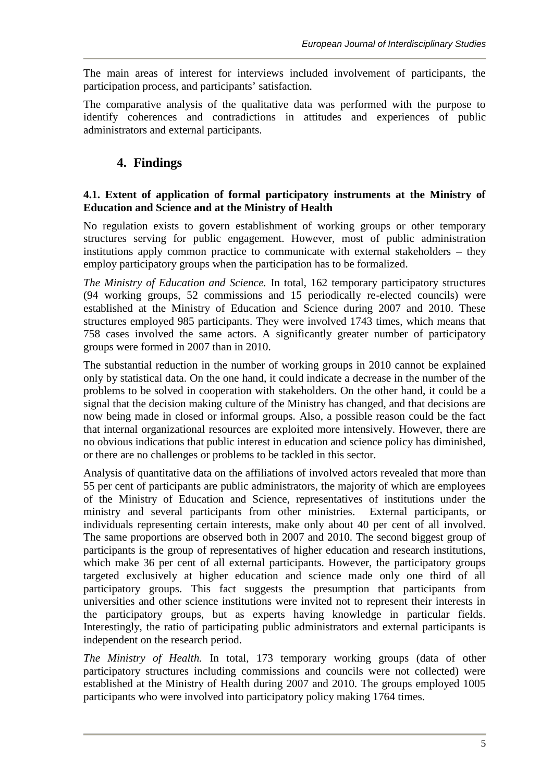The main areas of interest for interviews included involvement of participants, the participation process, and participants' satisfaction.

The comparative analysis of the qualitative data was performed with the purpose to identify coherences and contradictions in attitudes and experiences of public administrators and external participants.

# **4. Findings**

#### **4.1. Extent of application of formal participatory instruments at the Ministry of Education and Science and at the Ministry of Health**

No regulation exists to govern establishment of working groups or other temporary structures serving for public engagement. However, most of public administration institutions apply common practice to communicate with external stakeholders – they employ participatory groups when the participation has to be formalized.

*The Ministry of Education and Science.* In total, 162 temporary participatory structures (94 working groups, 52 commissions and 15 periodically re-elected councils) were established at the Ministry of Education and Science during 2007 and 2010. These structures employed 985 participants. They were involved 1743 times, which means that 758 cases involved the same actors. A significantly greater number of participatory groups were formed in 2007 than in 2010.

The substantial reduction in the number of working groups in 2010 cannot be explained only by statistical data. On the one hand, it could indicate a decrease in the number of the problems to be solved in cooperation with stakeholders. On the other hand, it could be a signal that the decision making culture of the Ministry has changed, and that decisions are now being made in closed or informal groups. Also, a possible reason could be the fact that internal organizational resources are exploited more intensively. However, there are no obvious indications that public interest in education and science policy has diminished, or there are no challenges or problems to be tackled in this sector.

Analysis of quantitative data on the affiliations of involved actors revealed that more than 55 per cent of participants are public administrators, the majority of which are employees of the Ministry of Education and Science, representatives of institutions under the ministry and several participants from other ministries. External participants, or individuals representing certain interests, make only about 40 per cent of all involved. The same proportions are observed both in 2007 and 2010. The second biggest group of participants is the group of representatives of higher education and research institutions, which make 36 per cent of all external participants. However, the participatory groups targeted exclusively at higher education and science made only one third of all participatory groups. This fact suggests the presumption that participants from universities and other science institutions were invited not to represent their interests in the participatory groups, but as experts having knowledge in particular fields. Interestingly, the ratio of participating public administrators and external participants is independent on the research period.

*The Ministry of Health.* In total, 173 temporary working groups (data of other participatory structures including commissions and councils were not collected) were established at the Ministry of Health during 2007 and 2010. The groups employed 1005 participants who were involved into participatory policy making 1764 times.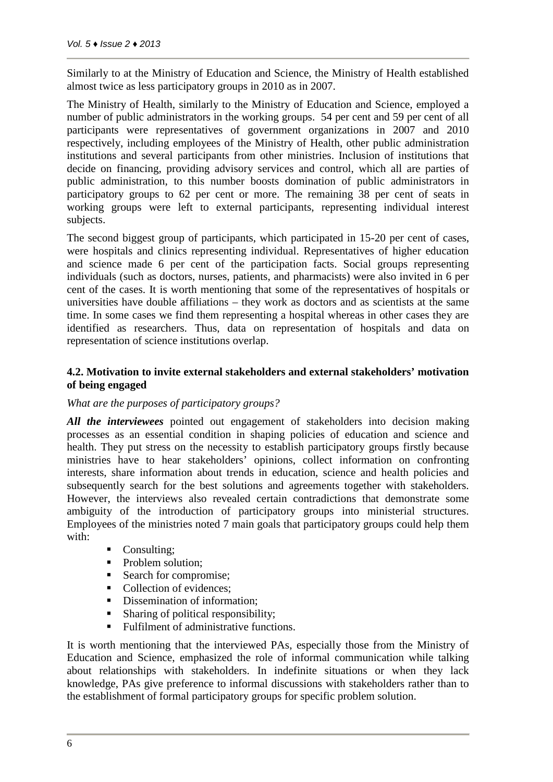Similarly to at the Ministry of Education and Science, the Ministry of Health established almost twice as less participatory groups in 2010 as in 2007.

The Ministry of Health, similarly to the Ministry of Education and Science, employed a number of public administrators in the working groups. 54 per cent and 59 per cent of all participants were representatives of government organizations in 2007 and 2010 respectively, including employees of the Ministry of Health, other public administration institutions and several participants from other ministries. Inclusion of institutions that decide on financing, providing advisory services and control, which all are parties of public administration, to this number boosts domination of public administrators in participatory groups to 62 per cent or more. The remaining 38 per cent of seats in working groups were left to external participants, representing individual interest subjects.

The second biggest group of participants, which participated in 15-20 per cent of cases, were hospitals and clinics representing individual. Representatives of higher education and science made 6 per cent of the participation facts. Social groups representing individuals (such as doctors, nurses, patients, and pharmacists) were also invited in 6 per cent of the cases. It is worth mentioning that some of the representatives of hospitals or universities have double affiliations – they work as doctors and as scientists at the same time. In some cases we find them representing a hospital whereas in other cases they are identified as researchers. Thus, data on representation of hospitals and data on representation of science institutions overlap.

#### **4.2. Motivation to invite external stakeholders and external stakeholders' motivation of being engaged**

#### *What are the purposes of participatory groups?*

*All the interviewees* pointed out engagement of stakeholders into decision making processes as an essential condition in shaping policies of education and science and health. They put stress on the necessity to establish participatory groups firstly because ministries have to hear stakeholders' opinions, collect information on confronting interests, share information about trends in education, science and health policies and subsequently search for the best solutions and agreements together with stakeholders. However, the interviews also revealed certain contradictions that demonstrate some ambiguity of the introduction of participatory groups into ministerial structures. Employees of the ministries noted 7 main goals that participatory groups could help them with:

- Consulting;
- Problem solution;
- Search for compromise:
- Collection of evidences;
- Dissemination of information:
- Sharing of political responsibility;
- Fulfilment of administrative functions.

It is worth mentioning that the interviewed PAs, especially those from the Ministry of Education and Science, emphasized the role of informal communication while talking about relationships with stakeholders. In indefinite situations or when they lack knowledge, PAs give preference to informal discussions with stakeholders rather than to the establishment of formal participatory groups for specific problem solution.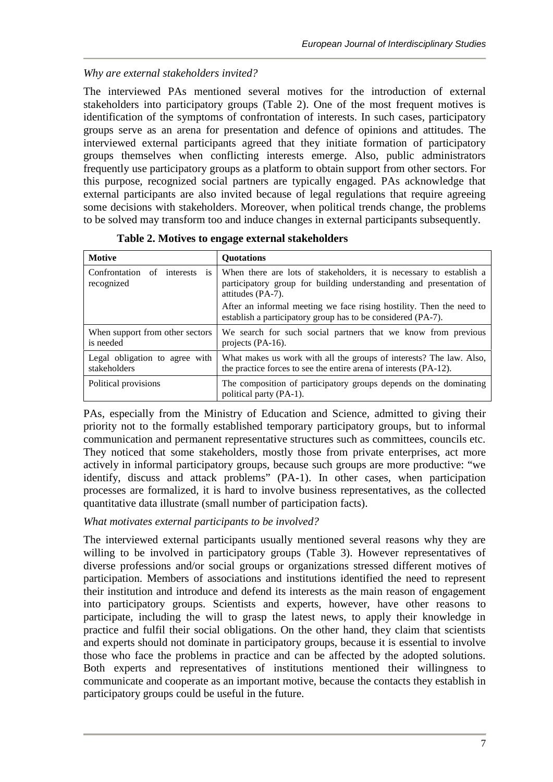## *Why are external stakeholders invited?*

The interviewed PAs mentioned several motives for the introduction of external stakeholders into participatory groups (Table 2). One of the most frequent motives is identification of the symptoms of confrontation of interests. In such cases, participatory groups serve as an arena for presentation and defence of opinions and attitudes. The interviewed external participants agreed that they initiate formation of participatory groups themselves when conflicting interests emerge. Also, public administrators frequently use participatory groups as a platform to obtain support from other sectors. For this purpose, recognized social partners are typically engaged. PAs acknowledge that external participants are also invited because of legal regulations that require agreeing some decisions with stakeholders. Moreover, when political trends change, the problems to be solved may transform too and induce changes in external participants subsequently.

| <b>Motive</b>                                  | <b>Ouotations</b>                                                                                                                                              |  |
|------------------------------------------------|----------------------------------------------------------------------------------------------------------------------------------------------------------------|--|
| Confrontation of interests is<br>recognized    | When there are lots of stakeholders, it is necessary to establish a<br>participatory group for building understanding and presentation of<br>attitudes (PA-7). |  |
|                                                | After an informal meeting we face rising hostility. Then the need to<br>establish a participatory group has to be considered (PA-7).                           |  |
| When support from other sectors<br>is needed   | We search for such social partners that we know from previous<br>projects (PA-16).                                                                             |  |
| Legal obligation to agree with<br>stakeholders | What makes us work with all the groups of interests? The law. Also,<br>the practice forces to see the entire arena of interests (PA-12).                       |  |
| Political provisions                           | The composition of participatory groups depends on the dominating<br>political party (PA-1).                                                                   |  |

| Table 2. Motives to engage external stakeholders |
|--------------------------------------------------|
|--------------------------------------------------|

PAs, especially from the Ministry of Education and Science, admitted to giving their priority not to the formally established temporary participatory groups, but to informal communication and permanent representative structures such as committees, councils etc. They noticed that some stakeholders, mostly those from private enterprises, act more actively in informal participatory groups, because such groups are more productive: "we identify, discuss and attack problems" (PA-1). In other cases, when participation processes are formalized, it is hard to involve business representatives, as the collected quantitative data illustrate (small number of participation facts).

#### *What motivates external participants to be involved?*

The interviewed external participants usually mentioned several reasons why they are willing to be involved in participatory groups (Table 3). However representatives of diverse professions and/or social groups or organizations stressed different motives of participation. Members of associations and institutions identified the need to represent their institution and introduce and defend its interests as the main reason of engagement into participatory groups. Scientists and experts, however, have other reasons to participate, including the will to grasp the latest news, to apply their knowledge in practice and fulfil their social obligations. On the other hand, they claim that scientists and experts should not dominate in participatory groups, because it is essential to involve those who face the problems in practice and can be affected by the adopted solutions. Both experts and representatives of institutions mentioned their willingness to communicate and cooperate as an important motive, because the contacts they establish in participatory groups could be useful in the future.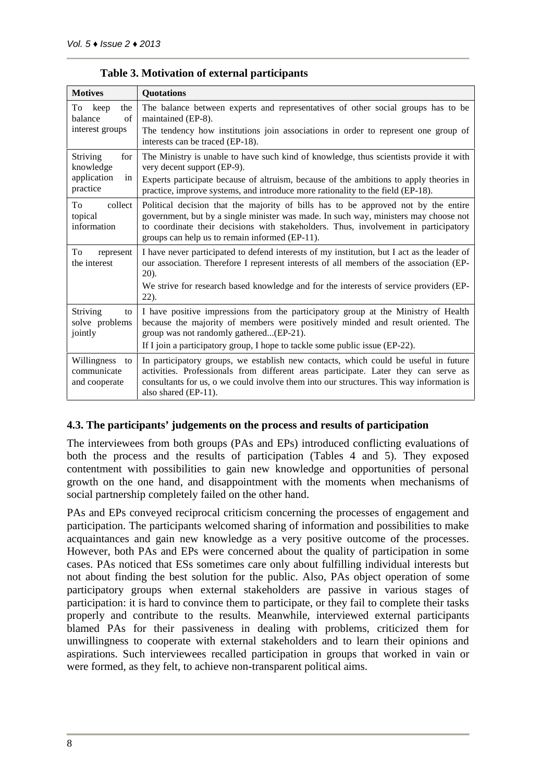| <b>Motives</b>                                 | <b>Quotations</b>                                                                                                                                                                                                                                                                                                   |
|------------------------------------------------|---------------------------------------------------------------------------------------------------------------------------------------------------------------------------------------------------------------------------------------------------------------------------------------------------------------------|
| To keep<br>the<br>balance<br>of                | The balance between experts and representatives of other social groups has to be<br>maintained (EP-8).                                                                                                                                                                                                              |
| interest groups                                | The tendency how institutions join associations in order to represent one group of<br>interests can be traced (EP-18).                                                                                                                                                                                              |
| <b>Striving</b><br>for<br>knowledge            | The Ministry is unable to have such kind of knowledge, thus scientists provide it with<br>very decent support (EP-9).                                                                                                                                                                                               |
| application<br>in<br>practice                  | Experts participate because of altruism, because of the ambitions to apply theories in<br>practice, improve systems, and introduce more rationality to the field (EP-18).                                                                                                                                           |
| To<br>collect<br>topical<br>information        | Political decision that the majority of bills has to be approved not by the entire<br>government, but by a single minister was made. In such way, ministers may choose not<br>to coordinate their decisions with stakeholders. Thus, involvement in participatory<br>groups can help us to remain informed (EP-11). |
| To<br>represent<br>the interest                | I have never participated to defend interests of my institution, but I act as the leader of<br>our association. Therefore I represent interests of all members of the association (EP-<br>$20$ ).                                                                                                                   |
|                                                | We strive for research based knowledge and for the interests of service providers (EP-<br>$22$ ).                                                                                                                                                                                                                   |
| Striving<br>to<br>solve problems<br>jointly    | I have positive impressions from the participatory group at the Ministry of Health<br>because the majority of members were positively minded and result oriented. The<br>group was not randomly gathered(EP-21).                                                                                                    |
|                                                | If I join a participatory group, I hope to tackle some public issue (EP-22).                                                                                                                                                                                                                                        |
| Willingness to<br>communicate<br>and cooperate | In participatory groups, we establish new contacts, which could be useful in future<br>activities. Professionals from different areas participate. Later they can serve as<br>consultants for us, o we could involve them into our structures. This way information is<br>also shared (EP-11).                      |

#### **Table 3. Motivation of external participants**

#### **4.3. The participants' judgements on the process and results of participation**

The interviewees from both groups (PAs and EPs) introduced conflicting evaluations of both the process and the results of participation (Tables 4 and 5). They exposed contentment with possibilities to gain new knowledge and opportunities of personal growth on the one hand, and disappointment with the moments when mechanisms of social partnership completely failed on the other hand.

PAs and EPs conveyed reciprocal criticism concerning the processes of engagement and participation. The participants welcomed sharing of information and possibilities to make acquaintances and gain new knowledge as a very positive outcome of the processes. However, both PAs and EPs were concerned about the quality of participation in some cases. PAs noticed that ESs sometimes care only about fulfilling individual interests but not about finding the best solution for the public. Also, PAs object operation of some participatory groups when external stakeholders are passive in various stages of participation: it is hard to convince them to participate, or they fail to complete their tasks properly and contribute to the results. Meanwhile, interviewed external participants blamed PAs for their passiveness in dealing with problems, criticized them for unwillingness to cooperate with external stakeholders and to learn their opinions and aspirations. Such interviewees recalled participation in groups that worked in vain or were formed, as they felt, to achieve non-transparent political aims.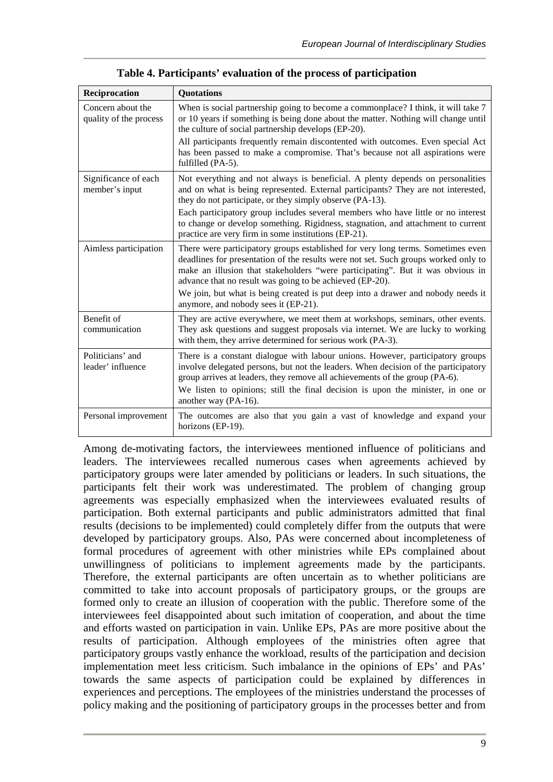| Reciprocation                               | <b>Quotations</b>                                                                                                                                                                                                                                                                                                   |
|---------------------------------------------|---------------------------------------------------------------------------------------------------------------------------------------------------------------------------------------------------------------------------------------------------------------------------------------------------------------------|
| Concern about the<br>quality of the process | When is social partnership going to become a commonplace? I think, it will take 7<br>or 10 years if something is being done about the matter. Nothing will change until<br>the culture of social partnership develops (EP-20).                                                                                      |
|                                             | All participants frequently remain discontented with outcomes. Even special Act<br>has been passed to make a compromise. That's because not all aspirations were<br>fulfilled (PA-5).                                                                                                                               |
| Significance of each<br>member's input      | Not everything and not always is beneficial. A plenty depends on personalities<br>and on what is being represented. External participants? They are not interested,<br>they do not participate, or they simply observe (PA-13).                                                                                     |
|                                             | Each participatory group includes several members who have little or no interest<br>to change or develop something. Rigidness, stagnation, and attachment to current<br>practice are very firm in some institutions (EP-21).                                                                                        |
| Aimless participation                       | There were participatory groups established for very long terms. Sometimes even<br>deadlines for presentation of the results were not set. Such groups worked only to<br>make an illusion that stakeholders "were participating". But it was obvious in<br>advance that no result was going to be achieved (EP-20). |
|                                             | We join, but what is being created is put deep into a drawer and nobody needs it<br>anymore, and nobody sees it (EP-21).                                                                                                                                                                                            |
| Benefit of<br>communication                 | They are active everywhere, we meet them at workshops, seminars, other events.<br>They ask questions and suggest proposals via internet. We are lucky to working<br>with them, they arrive determined for serious work (PA-3).                                                                                      |
| Politicians' and<br>leader' influence       | There is a constant dialogue with labour unions. However, participatory groups<br>involve delegated persons, but not the leaders. When decision of the participatory<br>group arrives at leaders, they remove all achievements of the group (PA-6).                                                                 |
|                                             | We listen to opinions; still the final decision is upon the minister, in one or<br>another way (PA-16).                                                                                                                                                                                                             |
| Personal improvement                        | The outcomes are also that you gain a vast of knowledge and expand your<br>horizons (EP-19).                                                                                                                                                                                                                        |

**Table 4. Participants' evaluation of the process of participation**

Among de-motivating factors, the interviewees mentioned influence of politicians and leaders. The interviewees recalled numerous cases when agreements achieved by participatory groups were later amended by politicians or leaders. In such situations, the participants felt their work was underestimated. The problem of changing group agreements was especially emphasized when the interviewees evaluated results of participation. Both external participants and public administrators admitted that final results (decisions to be implemented) could completely differ from the outputs that were developed by participatory groups. Also, PAs were concerned about incompleteness of formal procedures of agreement with other ministries while EPs complained about unwillingness of politicians to implement agreements made by the participants. Therefore, the external participants are often uncertain as to whether politicians are committed to take into account proposals of participatory groups, or the groups are formed only to create an illusion of cooperation with the public. Therefore some of the interviewees feel disappointed about such imitation of cooperation, and about the time and efforts wasted on participation in vain. Unlike EPs, PAs are more positive about the results of participation. Although employees of the ministries often agree that participatory groups vastly enhance the workload, results of the participation and decision implementation meet less criticism. Such imbalance in the opinions of EPs' and PAs' towards the same aspects of participation could be explained by differences in experiences and perceptions. The employees of the ministries understand the processes of policy making and the positioning of participatory groups in the processes better and from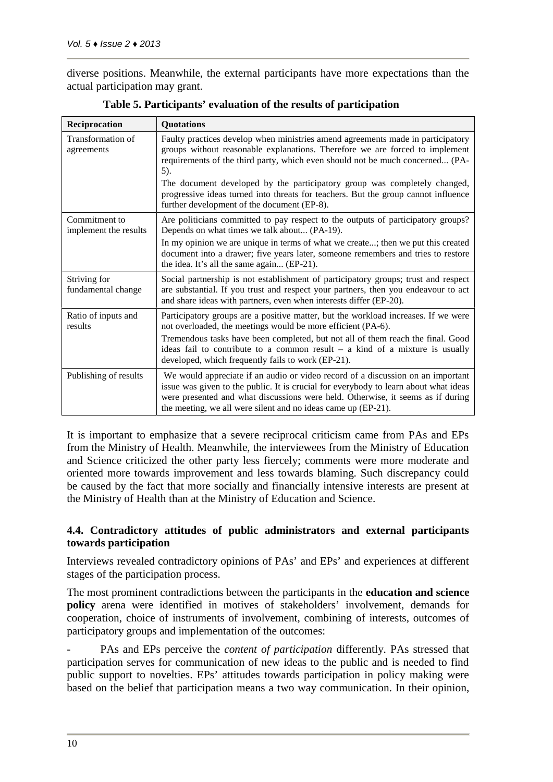diverse positions. Meanwhile, the external participants have more expectations than the actual participation may grant.

| Reciprocation                          | <b>Quotations</b>                                                                                                                                                                                                                                                                                                                    |
|----------------------------------------|--------------------------------------------------------------------------------------------------------------------------------------------------------------------------------------------------------------------------------------------------------------------------------------------------------------------------------------|
| Transformation of<br>agreements        | Faulty practices develop when ministries amend agreements made in participatory<br>groups without reasonable explanations. Therefore we are forced to implement<br>requirements of the third party, which even should not be much concerned (PA-<br>5).<br>The document developed by the participatory group was completely changed, |
|                                        | progressive ideas turned into threats for teachers. But the group cannot influence<br>further development of the document (EP-8).                                                                                                                                                                                                    |
| Commitment to<br>implement the results | Are politicians committed to pay respect to the outputs of participatory groups?<br>Depends on what times we talk about (PA-19).                                                                                                                                                                                                     |
|                                        | In my opinion we are unique in terms of what we create; then we put this created<br>document into a drawer; five years later, someone remembers and tries to restore<br>the idea. It's all the same again (EP-21).                                                                                                                   |
| Striving for<br>fundamental change     | Social partnership is not establishment of participatory groups; trust and respect<br>are substantial. If you trust and respect your partners, then you endeavour to act<br>and share ideas with partners, even when interests differ (EP-20).                                                                                       |
| Ratio of inputs and<br>results         | Participatory groups are a positive matter, but the workload increases. If we were<br>not overloaded, the meetings would be more efficient (PA-6).                                                                                                                                                                                   |
|                                        | Tremendous tasks have been completed, but not all of them reach the final. Good<br>ideas fail to contribute to a common result $-$ a kind of a mixture is usually<br>developed, which frequently fails to work (EP-21).                                                                                                              |
| Publishing of results                  | We would appreciate if an audio or video record of a discussion on an important<br>issue was given to the public. It is crucial for everybody to learn about what ideas<br>were presented and what discussions were held. Otherwise, it seems as if during<br>the meeting, we all were silent and no ideas came up (EP-21).          |

**Table 5. Participants' evaluation of the results of participation**

It is important to emphasize that a severe reciprocal criticism came from PAs and EPs from the Ministry of Health. Meanwhile, the interviewees from the Ministry of Education and Science criticized the other party less fiercely; comments were more moderate and oriented more towards improvement and less towards blaming. Such discrepancy could be caused by the fact that more socially and financially intensive interests are present at the Ministry of Health than at the Ministry of Education and Science.

#### **4.4. Contradictory attitudes of public administrators and external participants towards participation**

Interviews revealed contradictory opinions of PAs' and EPs' and experiences at different stages of the participation process.

The most prominent contradictions between the participants in the **education and science policy** arena were identified in motives of stakeholders' involvement, demands for cooperation, choice of instruments of involvement, combining of interests, outcomes of participatory groups and implementation of the outcomes:

PAs and EPs perceive the *content of participation* differently. PAs stressed that participation serves for communication of new ideas to the public and is needed to find public support to novelties. EPs' attitudes towards participation in policy making were based on the belief that participation means a two way communication. In their opinion,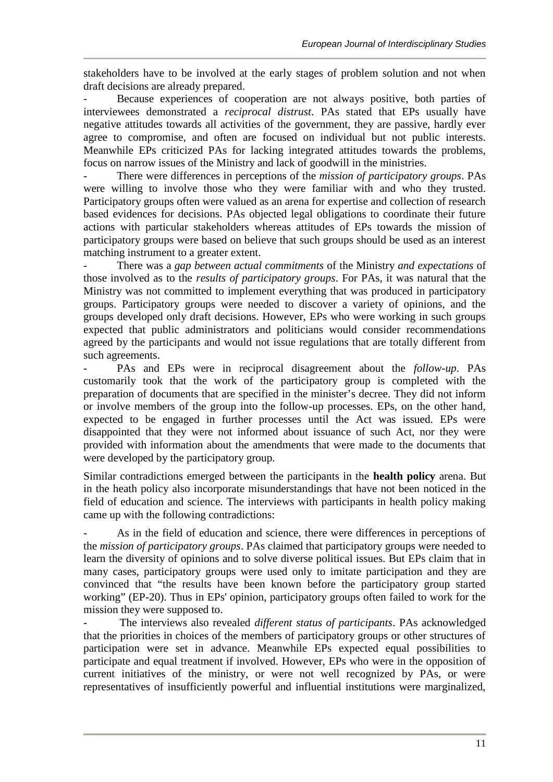stakeholders have to be involved at the early stages of problem solution and not when draft decisions are already prepared.

Because experiences of cooperation are not always positive, both parties of interviewees demonstrated a *reciprocal distrust*. PAs stated that EPs usually have negative attitudes towards all activities of the government, they are passive, hardly ever agree to compromise, and often are focused on individual but not public interests. Meanwhile EPs criticized PAs for lacking integrated attitudes towards the problems, focus on narrow issues of the Ministry and lack of goodwill in the ministries.

There were differences in perceptions of the *mission of participatory groups*. PAs were willing to involve those who they were familiar with and who they trusted. Participatory groups often were valued as an arena for expertise and collection of research based evidences for decisions. PAs objected legal obligations to coordinate their future actions with particular stakeholders whereas attitudes of EPs towards the mission of participatory groups were based on believe that such groups should be used as an interest matching instrument to a greater extent.

- There was a *gap between actual commitments* of the Ministry *and expectations* of those involved as to the *results of participatory groups*. For PAs, it was natural that the Ministry was not committed to implement everything that was produced in participatory groups. Participatory groups were needed to discover a variety of opinions, and the groups developed only draft decisions. However, EPs who were working in such groups expected that public administrators and politicians would consider recommendations agreed by the participants and would not issue regulations that are totally different from such agreements.

- PAs and EPs were in reciprocal disagreement about the *follow-up*. PAs customarily took that the work of the participatory group is completed with the preparation of documents that are specified in the minister's decree. They did not inform or involve members of the group into the follow-up processes. EPs, on the other hand, expected to be engaged in further processes until the Act was issued. EPs were disappointed that they were not informed about issuance of such Act, nor they were provided with information about the amendments that were made to the documents that were developed by the participatory group.

Similar contradictions emerged between the participants in the **health policy** arena. But in the heath policy also incorporate misunderstandings that have not been noticed in the field of education and science. The interviews with participants in health policy making came up with the following contradictions:

As in the field of education and science, there were differences in perceptions of the *mission of participatory groups*. PAs claimed that participatory groups were needed to learn the diversity of opinions and to solve diverse political issues. But EPs claim that in many cases, participatory groups were used only to imitate participation and they are convinced that "the results have been known before the participatory group started working" (EP-20). Thus in EPs' opinion, participatory groups often failed to work for the mission they were supposed to.

- The interviews also revealed *different status of participants*. PAs acknowledged that the priorities in choices of the members of participatory groups or other structures of participation were set in advance. Meanwhile EPs expected equal possibilities to participate and equal treatment if involved. However, EPs who were in the opposition of current initiatives of the ministry, or were not well recognized by PAs, or were representatives of insufficiently powerful and influential institutions were marginalized,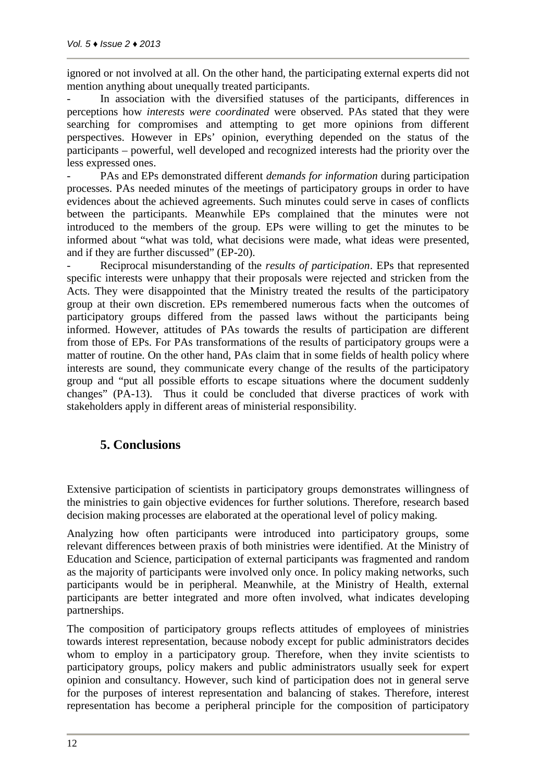ignored or not involved at all. On the other hand, the participating external experts did not mention anything about unequally treated participants.

In association with the diversified statuses of the participants, differences in perceptions how *interests were coordinated* were observed*.* PAs stated that they were searching for compromises and attempting to get more opinions from different perspectives. However in EPs' opinion, everything depended on the status of the participants – powerful, well developed and recognized interests had the priority over the less expressed ones.

- PAs and EPs demonstrated different *demands for information* during participation processes. PAs needed minutes of the meetings of participatory groups in order to have evidences about the achieved agreements. Such minutes could serve in cases of conflicts between the participants. Meanwhile EPs complained that the minutes were not introduced to the members of the group. EPs were willing to get the minutes to be informed about "what was told, what decisions were made, what ideas were presented, and if they are further discussed" (EP-20).

- Reciprocal misunderstanding of the *results of participation*. EPs that represented specific interests were unhappy that their proposals were rejected and stricken from the Acts. They were disappointed that the Ministry treated the results of the participatory group at their own discretion. EPs remembered numerous facts when the outcomes of participatory groups differed from the passed laws without the participants being informed. However, attitudes of PAs towards the results of participation are different from those of EPs. For PAs transformations of the results of participatory groups were a matter of routine. On the other hand, PAs claim that in some fields of health policy where interests are sound, they communicate every change of the results of the participatory group and "put all possible efforts to escape situations where the document suddenly changes" (PA-13). Thus it could be concluded that diverse practices of work with stakeholders apply in different areas of ministerial responsibility.

## **5. Conclusions**

Extensive participation of scientists in participatory groups demonstrates willingness of the ministries to gain objective evidences for further solutions. Therefore, research based decision making processes are elaborated at the operational level of policy making.

Analyzing how often participants were introduced into participatory groups, some relevant differences between praxis of both ministries were identified. At the Ministry of Education and Science, participation of external participants was fragmented and random as the majority of participants were involved only once. In policy making networks, such participants would be in peripheral. Meanwhile, at the Ministry of Health, external participants are better integrated and more often involved, what indicates developing partnerships.

The composition of participatory groups reflects attitudes of employees of ministries towards interest representation, because nobody except for public administrators decides whom to employ in a participatory group. Therefore, when they invite scientists to participatory groups, policy makers and public administrators usually seek for expert opinion and consultancy. However, such kind of participation does not in general serve for the purposes of interest representation and balancing of stakes. Therefore, interest representation has become a peripheral principle for the composition of participatory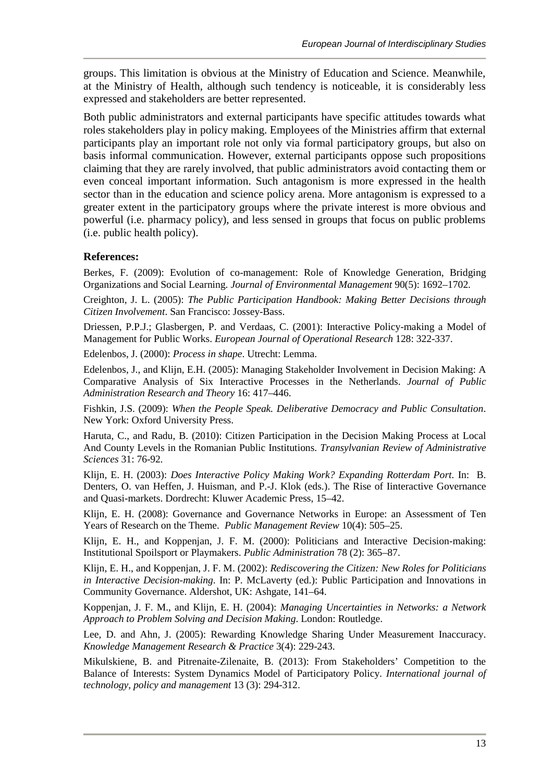groups. This limitation is obvious at the Ministry of Education and Science. Meanwhile, at the Ministry of Health, although such tendency is noticeable, it is considerably less expressed and stakeholders are better represented.

Both public administrators and external participants have specific attitudes towards what roles stakeholders play in policy making. Employees of the Ministries affirm that external participants play an important role not only via formal participatory groups, but also on basis informal communication. However, external participants oppose such propositions claiming that they are rarely involved, that public administrators avoid contacting them or even conceal important information. Such antagonism is more expressed in the health sector than in the education and science policy arena. More antagonism is expressed to a greater extent in the participatory groups where the private interest is more obvious and powerful (i.e. pharmacy policy), and less sensed in groups that focus on public problems (i.e. public health policy).

#### **References:**

Berkes, F. (2009): Evolution of co-management: Role of Knowledge Generation, Bridging Organizations and Social Learning. *Journal of Environmental Management* 90(5): 1692–1702.

Creighton, J. L. (2005): *The Public Participation Handbook: Making Better Decisions through Citizen Involvement*. San Francisco: Jossey-Bass.

Driessen, P.P.J.; Glasbergen, P. and Verdaas, C. (2001): Interactive Policy-making a Model of Management for Public Works. *European Journal of Operational Research* 128: 322-337.

Edelenbos, J. (2000): *Process in shape*. Utrecht: Lemma.

Edelenbos, J., and Klijn, E.H. (2005): Managing Stakeholder Involvement in Decision Making: A Comparative Analysis of Six Interactive Processes in the Netherlands. *Journal of Public Administration Research and Theory* 16: 417–446.

Fishkin, J.S. (2009): *When the People Speak. Deliberative Democracy and Public Consultation*. New York: Oxford University Press.

Haruta, C., and Radu, B. (2010): Citizen Participation in the Decision Making Process at Local And County Levels in the Romanian Public Institutions. *Transylvanian Review of Administrative Sciences* 31: 76-92*.*

Klijn, E. H. (2003): *Does Interactive Policy Making Work? Expanding Rotterdam Port.* In: B. Denters, O. van Heffen, J. Huisman, and P.-J. Klok (eds.). The Rise of Iinteractive Governance and Quasi-markets. Dordrecht: Kluwer Academic Press, 15–42.

Klijn, E. H. (2008): Governance and Governance Networks in Europe: an Assessment of Ten Years of Research on the Theme. *Public Management Review* 10(4): 505–25.

Klijn, E. H., and Koppenjan, J. F. M. (2000): Politicians and Interactive Decision-making: Institutional Spoilsport or Playmakers. *Public Administration* 78 (2): 365–87.

Klijn, E. H., and Koppenjan, J. F. M. (2002): *Rediscovering the Citizen: New Roles for Politicians in Interactive Decision-making*. In: P. McLaverty (ed.): Public Participation and Innovations in Community Governance. Aldershot, UK: Ashgate, 141–64.

Koppenjan, J. F. M., and Klijn, E. H. (2004): *Managing Uncertainties in Networks: a Network Approach to Problem Solving and Decision Making*. London: Routledge.

Lee, D. and Ahn, J. (2005): Rewarding Knowledge Sharing Under Measurement Inaccuracy. *Knowledge Management Research & Practice* 3(4): 229-243.

Mikulskiene, B. and Pitrenaite-Zilenaite, B. (2013): From Stakeholders' Competition to the Balance of Interests: System Dynamics Model of Participatory Policy. *International journal of technology, policy and management* 13 (3): 294-312.